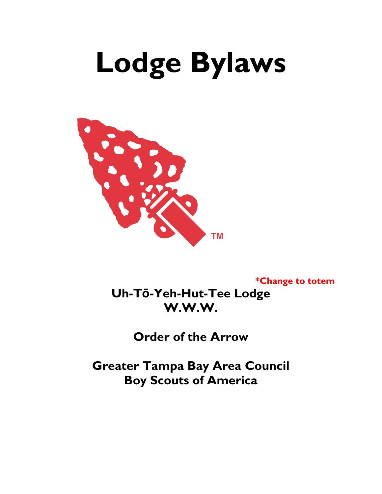# **Lodge Bylaws**



**\*Change to totem**

**Uh-Tō-Yeh-Hut-Tee Lodge W.W.W.**

**Order of the Arrow**

**Greater Tampa Bay Area Council Boy Scouts of America**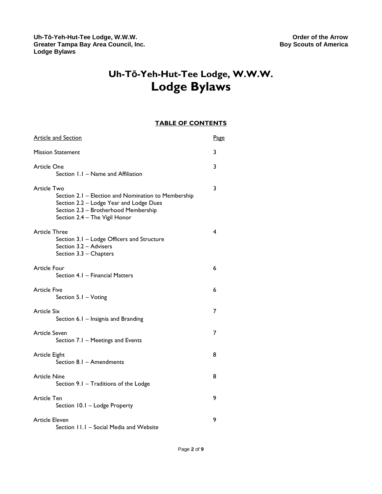## **Uh-Tō-Yeh-Hut-Tee Lodge, W.W.W. Lodge Bylaws**

#### **TABLE OF CONTENTS**

| <b>Article and Section</b>                                                                                                                                                             | Page |
|----------------------------------------------------------------------------------------------------------------------------------------------------------------------------------------|------|
| <b>Mission Statement</b>                                                                                                                                                               | 3    |
| Article One<br>Section 1.1 - Name and Affiliation                                                                                                                                      | 3    |
| Article Two<br>Section 2.1 - Election and Nomination to Membership<br>Section 2.2 - Lodge Year and Lodge Dues<br>Section 2.3 - Brotherhood Membership<br>Section 2.4 - The Vigil Honor | 3    |
| <b>Article Three</b><br>Section 3.1 - Lodge Officers and Structure<br>Section 3.2 - Advisers<br>Section 3.3 - Chapters                                                                 | 4    |
| Article Four<br>Section 4.1 - Financial Matters                                                                                                                                        | 6    |
| <b>Article Five</b><br>Section 5.1 - Voting                                                                                                                                            | 6    |
| <b>Article Six</b><br>Section 6.1 - Insignia and Branding                                                                                                                              | 7    |
| Article Seven<br>Section 7.1 - Meetings and Events                                                                                                                                     | 7    |
| Article Eight<br>Section 8.1 - Amendments                                                                                                                                              | 8    |
| <b>Article Nine</b><br>Section 9.1 - Traditions of the Lodge                                                                                                                           | 8    |
| <b>Article Ten</b><br>Section 10.1 - Lodge Property                                                                                                                                    | 9    |
| <b>Article Eleven</b><br>Section 11.1 - Social Media and Website                                                                                                                       | 9    |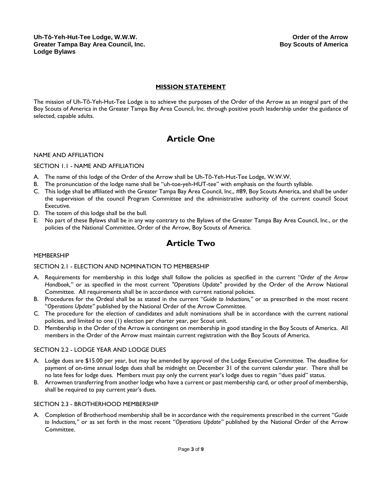#### **MISSION STATEMENT**

The mission of Uh-Tō-Yeh-Hut-Tee Lodge is to achieve the purposes of the Order of the Arrow as an integral part of the Boy Scouts of America in the Greater Tampa Bay Area Council, Inc. through positive youth leadership under the guidance of selected, capable adults.

## **Article One**

#### NAME AND AFFILIATION

#### SECTION 1.1 - NAME AND AFFILIATION

- A. The name of this lodge of the Order of the Arrow shall be Uh-Tō-Yeh-Hut-Tee Lodge, W.W.W.
- The pronunciation of the lodge name shall be "uh-toe-yeh-HUT-tee" with emphasis on the fourth syllable.
- C. This lodge shall be affiliated with the Greater Tampa Bay Area Council, Inc., #89, Boy Scouts America, and shall be under the supervision of the council Program Committee and the administrative authority of the current council Scout Executive.
- D. The totem of this lodge shall be the bull.
- E. No part of these Bylaws shall be in any way contrary to the Bylaws of the Greater Tampa Bay Area Council, Inc., or the policies of the National Committee, Order of the Arrow, Boy Scouts of America.

## **Article Two**

#### **MEMBERSHIP**

#### SECTION 2.1 - ELECTION AND NOMINATION TO MEMBERSHIP

- A. Requirements for membership in this lodge shall follow the policies as specified in the current "*Order of the Arrow Handbook,"* or as specified in the most current *"Operations Update"* provided by the Order of the Arrow National Committee. All requirements shall be in accordance with current national policies.
- B. Procedures for the Ordeal shall be as stated in the current "*Guide to Inductions,"* or as prescribed in the most recent "*Operations Update"* published by the National Order of the Arrow Committee.
- C. The procedure for the election of candidates and adult nominations shall be in accordance with the current national policies, and limited to one (1) election per charter year, per Scout unit.
- D. Membership in the Order of the Arrow is contingent on membership in good standing in the Boy Scouts of America. All members in the Order of the Arrow must maintain current registration with the Boy Scouts of America.

#### SECTION 2.2 - LODGE YEAR AND LODGE DUES

- A. Lodge dues are \$15.00 per year, but may be amended by approval of the Lodge Executive Committee. The deadline for payment of on-time annual lodge dues shall be midnight on December 31 of the current calendar year. There shall be no late fees for lodge dues. Members must pay only the current year's lodge dues to regain "dues paid" status.
- B. Arrowmen transferring from another lodge who have a current or past membership card, or other proof of membership, shall be required to pay current year's dues.

#### SECTION 2.3 - BROTHERHOOD MEMBERSHIP

A. Completion of Brotherhood membership shall be in accordance with the requirements prescribed in the current "*Guide to Inductions,"* or as set forth in the most recent "*Operations Update"* published by the National Order of the Arrow Committee.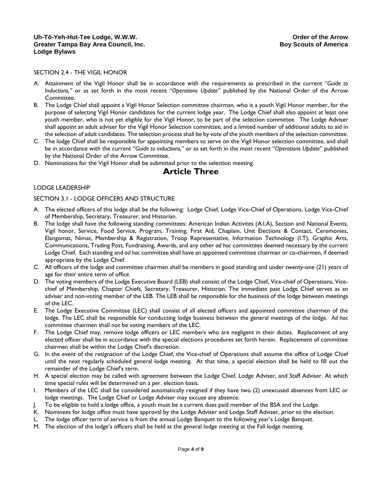#### SECTION 2.4 - THE VIGIL HONOR

- A. Attainment of the Vigil Honor shall be in accordance with the requirements as prescribed in the current "*Guide to Inductions,"* or as set forth in the most recent "*Operations Update*" published by the National Order of the Arrow Committee.
- B. The Lodge Chief shall appoint a Vigil Honor Selection committee chairman, who is a youth Vigil Honor member, for the purpose of selecting Vigil Honor candidates for the current lodge year. The Lodge Chief shall also appoint at least one youth member, who is not yet eligible for the Vigil Honor, to be part of the selection committee. The Lodge Adviser shall appoint an adult adviser for the Vigil Honor Selection committee, and a limited number of additional adults to aid in the selection of adult candidates. The selection process shall be by vote of the youth members of the selection committee.
- C. The lodge Chief shall be responsible for appointing members to serve on the Vigil Honor selection committee, and shall be in accordance with the current "*Guide to inductions,"* or as set forth in the most recent "*Operations Update*" published by the National Order of the Arrow Committee.
- D. Nominations for the Vigil Honor shall be submitted prior to the selection meeting.

### **Article Three**

#### LODGE LEADERSHIP

#### SECTION 3.1 - LODGE OFFICERS AND STRUCTURE

- A. The elected officers of this lodge shall be the following: Lodge Chief, Lodge Vice-Chief of Operations, Lodge Vice-Chief of Membership, Secretary, Treasurer, and Historian.
- B. The lodge shall have the following standing committees: American Indian Activites (A.I.A), Section and National Events, Vigil honor, Service, Food Service, Program, Training, First Aid, Chaplain, Unit Elections & Contact, Ceremonies, Elangomat, Nimat, Membership & Registration, Troop Representative, Information Technology (I.T), Graphic Arts, Communications, Trading Post, Fundraising, Awards, and any other *ad hoc* committees deemed necessary by the current Lodge Chief. Each standing and *ad hoc* committee shall have an appointed committee chairman or co-chairmen, if deemed appropriate by the Lodge Chief.
- C. All officers of the lodge and committee chairmen shall be members in good standing and under twenty-one (21) years of age for their entire term of office.
- D. The voting members of the Lodge Executive Board (LEB) shall consist of the Lodge Chief, Vice-chief of Operations, Vicechief of Membership, Chapter Chiefs, Secretary, Treasurer, Historian. The immediate past Lodge Chief serves as an adviser and non-voting member of the LEB. The LEB shall be responsible for the business of the lodge between meetings of the LEC.
- E. The Lodge Executive Committee (LEC) shall consist of all elected officers and appointed committee chairmen of the lodge. The LEC shall be responsible for conducting lodge business between the general meetings of the lodge. *Ad hoc* committee chairmen shall not be voting members of the LEC.
- F. The Lodge Chief may, remove lodge officers or LEC members who are negligent in their duties. Replacement of any elected officer shall be in accordance with the special elections procedures set forth herein. Replacement of committee chairmen shall be within the Lodge Chief's discretion.
- G. In the event of the resignation of the Lodge Chief, the Vice-chief of Operations shall assume the office of Lodge Chief until the next regularly scheduled general lodge meeting. At that time, a special election shall be held to fill out the remainder of the Lodge Chief's term.
- H. A special election may be called with agreement between the Lodge Chief, Lodge Adviser, and Staff Adviser. At which time special rules will be determined on a per. election basis.
- I. Members of the LEC shall be considered automatically resigned if they have two (2) unexcused absences from LEC or lodge meetings. The Lodge Chief or Lodge Adviser may excuse any absence.
- J. To be eligible to hold a lodge office, a youth must be a current dues paid member of the BSA and the Lodge.
- K. Nominees for lodge office must have approval by the Lodge Adviser and Lodge Staff Adviser, prior to the election.
- L. The lodge officer term of service is from the annual Lodge Banquet to the following year's Lodge Banquet.
- M. The election of the lodge's officers shall be held at the general lodge meeting at the Fall lodge meeting.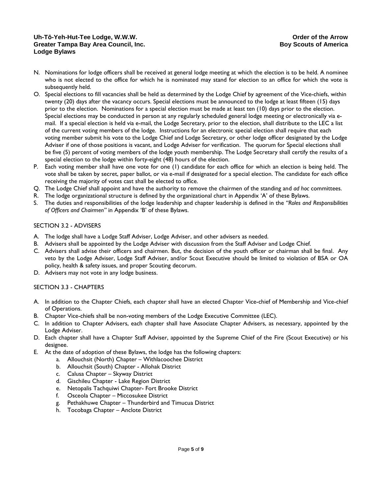#### **Uh-Tō-Yeh-Hut-Tee Lodge, W.W.W. Order of the Arrow Greater Tampa Bay Area Council, Inc. Community Connect America** Boy Scouts of America **Lodge Bylaws**

- N. Nominations for lodge officers shall be received at general lodge meeting at which the election is to be held. A nominee who is not elected to the office for which he is nominated may stand for election to an office for which the vote is subsequently held.
- O. Special elections to fill vacancies shall be held as determined by the Lodge Chief by agreement of the Vice-chiefs, within twenty (20) days after the vacancy occurs. Special elections must be announced to the lodge at least fifteen (15) days prior to the election. Nominations for a special election must be made at least ten (10) days prior to the election. Special elections may be conducted in person at any regularly scheduled general lodge meeting or electronically via email. If a special election is held via e-mail, the Lodge Secretary, prior to the election, shall distribute to the LEC a list of the current voting members of the lodge. Instructions for an electronic special election shall require that each voting member submit his vote to the Lodge Chief and Lodge Secretary, or other lodge officer designated by the Lodge Adviser if one of those positions is vacant, and Lodge Adviser for verification. The quorum for Special elections shall be five (5) percent of voting members of the lodge youth membership. The Lodge Secretary shall certify the results of a special election to the lodge within forty-eight (48) hours of the election.
- P. Each voting member shall have one vote for one (1) candidate for each office for which an election is being held. The vote shall be taken by secret, paper ballot, or via e-mail if designated for a special election. The candidate for each office receiving the majority of votes cast shall be elected to office.
- Q. The Lodge Chief shall appoint and have the authority to remove the chairmen of the standing and *ad hoc* committees.
- R. The lodge organizational structure is defined by the organizational chart in Appendix 'A' of these Bylaws.
- S. The duties and responsibilities of the lodge leadership and chapter leadership is defined in the *"Roles and Responsibilities of Officers and Chairmen"* in Appendix 'B' of these Bylaws.

#### SECTION 3.2 - ADVISERS

- A. The lodge shall have a Lodge Staff Adviser, Lodge Adviser, and other advisers as needed.
- B. Advisers shall be appointed by the Lodge Adviser with discussion from the Staff Adviser and Lodge Chief.
- C. Advisers shall advise their officers and chairmen. But, the decision of the youth officer or chairman shall be final. Any veto by the Lodge Adviser, Lodge Staff Adviser, and/or Scout Executive should be limited to violation of BSA or OA policy, health & safety issues, and proper Scouting decorum.
- D. Advisers may not vote in any lodge business.

#### SECTION 3.3 - CHAPTERS

- A. In addition to the Chapter Chiefs, each chapter shall have an elected Chapter Vice-chief of Membership and Vice-chief of Operations.
- B. Chapter Vice-chiefs shall be non-voting members of the Lodge Executive Committee (LEC).
- C. In addition to Chapter Advisers, each chapter shall have Associate Chapter Advisers, as necessary, appointed by the Lodge Adviser.
- D. Each chapter shall have a Chapter Staff Adviser, appointed by the Supreme Chief of the Fire (Scout Executive) or his designee.
- E. At the date of adoption of these Bylaws, the lodge has the following chapters:
	- a. Allouchsit (North) Chapter Withlacoochee District
	- b. Allouchsit (South) Chapter Allohak District
	- c. Calusa Chapter Skyway District
	- d. Gischileu Chapter Lake Region District
	- e. Netopalis Tachquiwi Chapter- Fort Brooke District
	- f. Osceola Chapter Miccosukee District
	- g. Pethakhuwe Chapter Thunderbird and Timucua District
	- h. Tocobaga Chapter Anclote District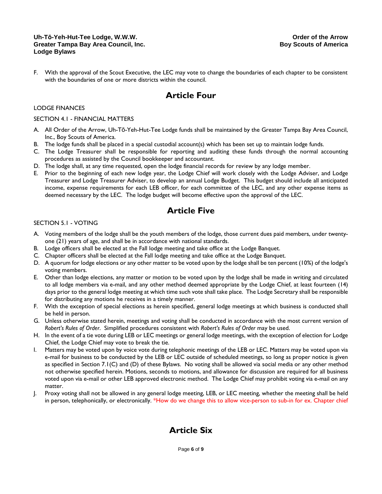#### **Uh-Tō-Yeh-Hut-Tee Lodge, W.W.W. Order of the Arrow Greater Tampa Bay Area Council, Inc. Community Connect America** Boy Scouts of America **Lodge Bylaws**

F. With the approval of the Scout Executive, the LEC may vote to change the boundaries of each chapter to be consistent with the boundaries of one or more districts within the council.

## **Article Four**

#### LODGE FINANCES

#### SECTION 4.1 - FINANCIAL MATTERS

- A. All Order of the Arrow, Uh-Tō-Yeh-Hut-Tee Lodge funds shall be maintained by the Greater Tampa Bay Area Council, Inc., Boy Scouts of America.
- B. The lodge funds shall be placed in a special custodial account(s) which has been set up to maintain lodge funds.
- C. The Lodge Treasurer shall be responsible for reporting and auditing these funds through the normal accounting procedures as assisted by the Council bookkeeper and accountant.
- D. The lodge shall, at any time requested, open the lodge financial records for review by any lodge member.
- E. Prior to the beginning of each new lodge year, the Lodge Chief will work closely with the Lodge Adviser, and Lodge Treasurer and Lodge Treasurer Adviser, to develop an annual Lodge Budget. This budget should include all anticipated income, expense requirements for each LEB officer, for each committee of the LEC, and any other expense items as deemed necessary by the LEC. The lodge budget will become effective upon the approval of the LEC.

## **Article Five**

#### SECTION 5.1 - VOTING

- A. Voting members of the lodge shall be the youth members of the lodge, those current dues paid members, under twentyone (21) years of age, and shall be in accordance with national standards.
- B. Lodge officers shall be elected at the Fall lodge meeting and take office at the Lodge Banquet.
- C. Chapter officers shall be elected at the Fall lodge meeting and take office at the Lodge Banquet.
- D. A quorum for lodge elections or any other matter to be voted upon by the lodge shall be ten percent (10%) of the lodge's voting members.
- E. Other than lodge elections, any matter or motion to be voted upon by the lodge shall be made in writing and circulated to all lodge members via e-mail, and any other method deemed appropriate by the Lodge Chief, at least fourteen (14) days prior to the general lodge meeting at which time such vote shall take place. The Lodge Secretary shall be responsible for distributing any motions he receives in a timely manner.
- F. With the exception of special elections as herein specified, general lodge meetings at which business is conducted shall be held in person.
- G. Unless otherwise stated herein, meetings and voting shall be conducted in accordance with the most current version of *Robert's Rules of Order*. Simplified procedures consistent with *Robert's Rules of Order* may be used.
- H. In the event of a tie vote during LEB or LEC meetings or general lodge meetings, with the exception of election for Lodge Chief, the Lodge Chief may vote to break the tie.
- I. Matters may be voted upon by voice vote during telephonic meetings of the LEB or LEC. Matters may be voted upon via e-mail for business to be conducted by the LEB or LEC outside of scheduled meetings, so long as proper notice is given as specified in Section 7.1(C) and (D) of these Bylaws. No voting shall be allowed via social media or any other method not otherwise specified herein. Motions, seconds to motions, and allowance for discussion are required for all business voted upon via e-mail or other LEB approved electronic method. The Lodge Chief may prohibit voting via e-mail on any matter.
- J. Proxy voting shall not be allowed in any general lodge meeting, LEB, or LEC meeting, whether the meeting shall be held in person, telephonically, or electronically. \*How do we change this to allow vice-person to sub-in for ex. Chapter chief

## **Article Six**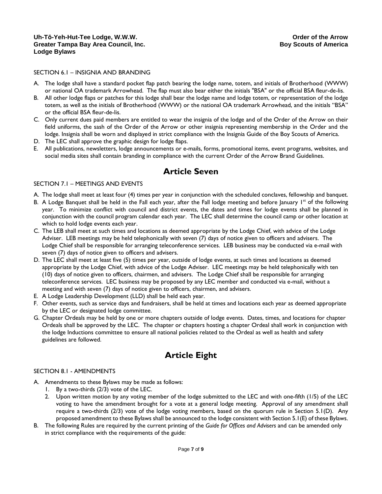#### SECTION 6.1 – INSIGNIA AND BRANDING

- A. The lodge shall have a standard pocket flap patch bearing the lodge name, totem, and initials of Brotherhood (WWW) or national OA trademark Arrowhead. The flap must also bear either the initials "BSA" or the official BSA fleur-de-lis.
- B. All other lodge flaps or patches for this lodge shall bear the lodge name and lodge totem, or representation of the lodge totem, as well as the initials of Brotherhood (WWW) or the national OA trademark Arrowhead, and the initials "BSA" or the official BSA fleur-de-lis.
- C. Only current dues paid members are entitled to wear the insignia of the lodge and of the Order of the Arrow on their field uniforms, the sash of the Order of the Arrow or other insignia representing membership in the Order and the lodge. Insignia shall be worn and displayed in strict compliance with the Insignia Guide of the Boy Scouts of America.
- D. The LEC shall approve the graphic design for lodge flaps.
- E. All publications, newsletters, lodge announcements or e-mails, forms, promotional items, event programs, websites, and social media sites shall contain branding in compliance with the current Order of the Arrow Brand Guidelines.

## **Article Seven**

#### SECTION 7.1 – MEETINGS AND EVENTS

- A. The lodge shall meet at least four (4) times per year in conjunction with the scheduled conclaves, fellowship and banquet.
- B. A Lodge Banquet shall be held in the Fall each year, after the Fall lodge meeting and before January  $1<sup>st</sup>$  of the following year. To minimize conflict with council and district events, the dates and times for lodge events shall be planned in conjunction with the council program calendar each year. The LEC shall determine the council camp or other location at which to hold lodge events each year.
- C. The LEB shall meet at such times and locations as deemed appropriate by the Lodge Chief, with advice of the Lodge Adviser. LEB meetings may be held telephonically with seven (7) days of notice given to officers and advisers. The Lodge Chief shall be responsible for arranging teleconference services. LEB business may be conducted via e-mail with seven (7) days of notice given to officers and advisers.
- D. The LEC shall meet at least five (5) times per year, outside of lodge events, at such times and locations as deemed appropriate by the Lodge Chief, with advice of the Lodge Adviser. LEC meetings may be held telephonically with ten (10) days of notice given to officers, chairmen, and advisers. The Lodge Chief shall be responsible for arranging teleconference services. LEC business may be proposed by any LEC member and conducted via e-mail, without a meeting and with seven (7) days of notice given to officers, chairmen, and advisers.
- E. A Lodge Leadership Development (LLD) shall be held each year.
- F. Other events, such as service days and fundraisers, shall be held at times and locations each year as deemed appropriate by the LEC or designated lodge committee.
- G. Chapter Ordeals may be held by one or more chapters outside of lodge events. Dates, times, and locations for chapter Ordeals shall be approved by the LEC. The chapter or chapters hosting a chapter Ordeal shall work in conjunction with the lodge Inductions committee to ensure all national policies related to the Ordeal as well as health and safety guidelines are followed.

## **Article Eight**

#### SECTION 8.1 - AMENDMENTS

- A. Amendments to these Bylaws may be made as follows:
	- 1. By a two-thirds (2/3) vote of the LEC.
	- 2. Upon written motion by any voting member of the lodge submitted to the LEC and with one-fifth (1/5) of the LEC voting to have the amendment brought for a vote at a general lodge meeting. Approval of any amendment shall require a two-thirds (2/3) vote of the lodge voting members, based on the quorum rule in Section 5.1(D). Any proposed amendment to these Bylaws shall be announced to the lodge consistent with Section 5.1(E) of these Bylaws.
- B. The following Rules are required by the current printing of the *Guide for Offices and Advisers* and can be amended only in strict compliance with the requirements of the guide: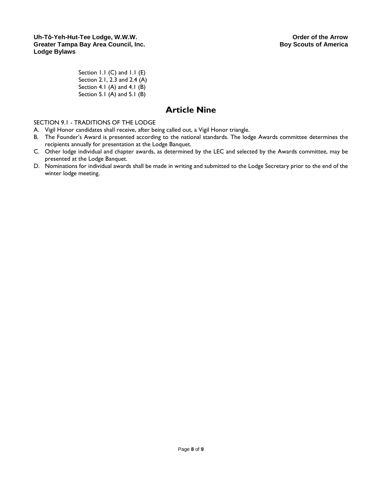Section 1.1 (C) and 1.1 (E) Section 2.1, 2.3 and 2.4 (A) Section 4.1 (A) and 4.1 (B) Section 5.1 (A) and 5.1 (B)

## **Article Nine**

SECTION 9.1 - TRADITIONS OF THE LODGE

- A. Vigil Honor candidates shall receive, after being called out, a Vigil Honor triangle.
- B. The Founder's Award is presented according to the national standards. The lodge Awards committee determines the recipients annually for presentation at the Lodge Banquet.
- C. Other lodge individual and chapter awards, as determined by the LEC and selected by the Awards committee, may be presented at the Lodge Banquet.
- D. Nominations for individual awards shall be made in writing and submitted to the Lodge Secretary prior to the end of the winter lodge meeting.